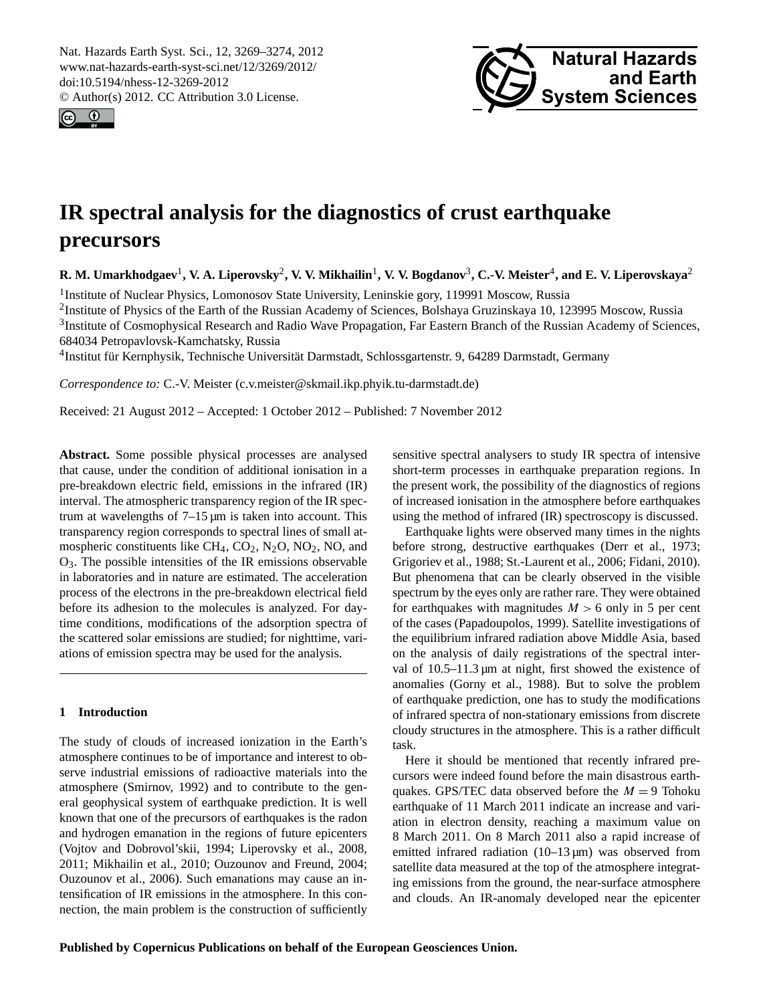<span id="page-0-0"></span>Nat. Hazards Earth Syst. Sci., 12, 3269–3274, 2012 www.nat-hazards-earth-syst-sci.net/12/3269/2012/ doi:10.5194/nhess-12-3269-2012 © Author(s) 2012. CC Attribution 3.0 License.





# **IR spectral analysis for the diagnostics of crust earthquake precursors**

 ${\bf R}.$  M. Umarkhodgaev<sup>1</sup>, V. A. Liperovsky<sup>2</sup>, V. V. Mikhailin<sup>1</sup>, V. V. Bogdanov<sup>3</sup>, C.-V. Meister<sup>4</sup>, and E. V. Liperovskaya<sup>2</sup>

<sup>1</sup>Institute of Nuclear Physics, Lomonosov State University, Leninskie gory, 119991 Moscow, Russia

<sup>2</sup>Institute of Physics of the Earth of the Russian Academy of Sciences, Bolshaya Gruzinskaya 10, 123995 Moscow, Russia <sup>3</sup>Institute of Cosmophysical Research and Radio Wave Propagation, Far Eastern Branch of the Russian Academy of Sciences, 684034 Petropavlovsk-Kamchatsky, Russia

<sup>4</sup>Institut für Kernphysik, Technische Universität Darmstadt, Schlossgartenstr. 9, 64289 Darmstadt, Germany

*Correspondence to:* C.-V. Meister (c.v.meister@skmail.ikp.phyik.tu-darmstadt.de)

Received: 21 August 2012 – Accepted: 1 October 2012 – Published: 7 November 2012

**Abstract.** Some possible physical processes are analysed that cause, under the condition of additional ionisation in a pre-breakdown electric field, emissions in the infrared (IR) interval. The atmospheric transparency region of the IR spectrum at wavelengths of  $7-15 \mu m$  is taken into account. This transparency region corresponds to spectral lines of small atmospheric constituents like  $CH_4$ ,  $CO_2$ ,  $N_2O$ ,  $NO_2$ ,  $NO$ , and O3. The possible intensities of the IR emissions observable in laboratories and in nature are estimated. The acceleration process of the electrons in the pre-breakdown electrical field before its adhesion to the molecules is analyzed. For daytime conditions, modifications of the adsorption spectra of the scattered solar emissions are studied; for nighttime, variations of emission spectra may be used for the analysis.

### **1 Introduction**

The study of clouds of increased ionization in the Earth's atmosphere continues to be of importance and interest to observe industrial emissions of radioactive materials into the atmosphere (Smirnov, 1992) and to contribute to the general geophysical system of earthquake prediction. It is well known that one of the precursors of earthquakes is the radon and hydrogen emanation in the regions of future epicenters (Vojtov and Dobrovol'skii, 1994; Liperovsky et al., 2008, 2011; Mikhailin et al., 2010; Ouzounov and Freund, 2004; Ouzounov et al., 2006). Such emanations may cause an intensification of IR emissions in the atmosphere. In this connection, the main problem is the construction of sufficiently sensitive spectral analysers to study IR spectra of intensive short-term processes in earthquake preparation regions. In the present work, the possibility of the diagnostics of regions of increased ionisation in the atmosphere before earthquakes using the method of infrared (IR) spectroscopy is discussed.

Earthquake lights were observed many times in the nights before strong, destructive earthquakes (Derr et al., 1973; Grigoriev et al., 1988; St.-Laurent et al., 2006; Fidani, 2010). But phenomena that can be clearly observed in the visible spectrum by the eyes only are rather rare. They were obtained for earthquakes with magnitudes  $M > 6$  only in 5 per cent of the cases (Papadoupolos, 1999). Satellite investigations of the equilibrium infrared radiation above Middle Asia, based on the analysis of daily registrations of the spectral interval of  $10.5-11.3 \mu m$  at night, first showed the existence of anomalies (Gorny et al., 1988). But to solve the problem of earthquake prediction, one has to study the modifications of infrared spectra of non-stationary emissions from discrete cloudy structures in the atmosphere. This is a rather difficult task.

Here it should be mentioned that recently infrared precursors were indeed found before the main disastrous earthquakes. GPS/TEC data observed before the  $M = 9$  Tohoku earthquake of 11 March 2011 indicate an increase and variation in electron density, reaching a maximum value on 8 March 2011. On 8 March 2011 also a rapid increase of emitted infrared radiation  $(10-13 \,\mu m)$  was observed from satellite data measured at the top of the atmosphere integrating emissions from the ground, the near-surface atmosphere and clouds. An IR-anomaly developed near the epicenter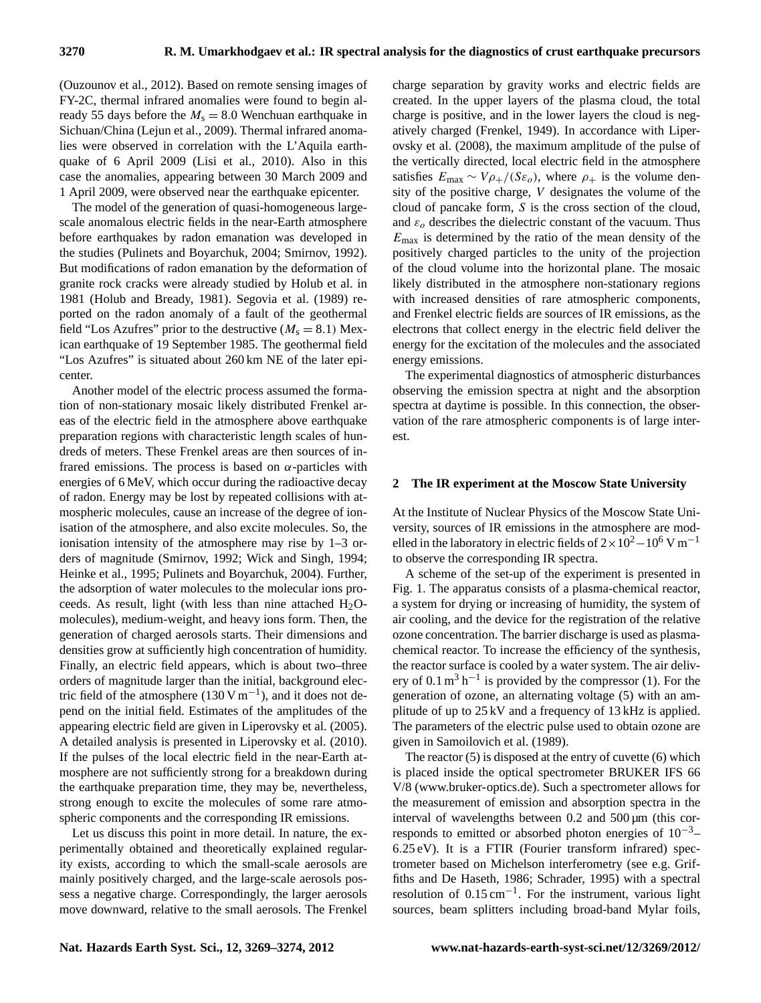(Ouzounov et al., 2012). Based on remote sensing images of FY-2C, thermal infrared anomalies were found to begin already 55 days before the  $M_s = 8.0$  Wenchuan earthquake in Sichuan/China (Lejun et al., 2009). Thermal infrared anomalies were observed in correlation with the L'Aquila earthquake of 6 April 2009 (Lisi et al., 2010). Also in this case the anomalies, appearing between 30 March 2009 and 1 April 2009, were observed near the earthquake epicenter.

The model of the generation of quasi-homogeneous largescale anomalous electric fields in the near-Earth atmosphere before earthquakes by radon emanation was developed in the studies (Pulinets and Boyarchuk, 2004; Smirnov, 1992). But modifications of radon emanation by the deformation of granite rock cracks were already studied by Holub et al. in 1981 (Holub and Bready, 1981). Segovia et al. (1989) reported on the radon anomaly of a fault of the geothermal field "Los Azufres" prior to the destructive  $(M_s = 8.1)$  Mexican earthquake of 19 September 1985. The geothermal field "Los Azufres" is situated about 260 km NE of the later epicenter.

Another model of the electric process assumed the formation of non-stationary mosaic likely distributed Frenkel areas of the electric field in the atmosphere above earthquake preparation regions with characteristic length scales of hundreds of meters. These Frenkel areas are then sources of infrared emissions. The process is based on  $\alpha$ -particles with energies of 6 MeV, which occur during the radioactive decay of radon. Energy may be lost by repeated collisions with atmospheric molecules, cause an increase of the degree of ionisation of the atmosphere, and also excite molecules. So, the ionisation intensity of the atmosphere may rise by 1–3 orders of magnitude (Smirnov, 1992; Wick and Singh, 1994; Heinke et al., 1995; Pulinets and Boyarchuk, 2004). Further, the adsorption of water molecules to the molecular ions proceeds. As result, light (with less than nine attached  $H_2O$ molecules), medium-weight, and heavy ions form. Then, the generation of charged aerosols starts. Their dimensions and densities grow at sufficiently high concentration of humidity. Finally, an electric field appears, which is about two–three orders of magnitude larger than the initial, background electric field of the atmosphere  $(130 \text{ V m}^{-1})$ , and it does not depend on the initial field. Estimates of the amplitudes of the appearing electric field are given in Liperovsky et al. (2005). A detailed analysis is presented in Liperovsky et al. (2010). If the pulses of the local electric field in the near-Earth atmosphere are not sufficiently strong for a breakdown during the earthquake preparation time, they may be, nevertheless, strong enough to excite the molecules of some rare atmospheric components and the corresponding IR emissions.

Let us discuss this point in more detail. In nature, the experimentally obtained and theoretically explained regularity exists, according to which the small-scale aerosols are mainly positively charged, and the large-scale aerosols possess a negative charge. Correspondingly, the larger aerosols move downward, relative to the small aerosols. The Frenkel charge separation by gravity works and electric fields are created. In the upper layers of the plasma cloud, the total charge is positive, and in the lower layers the cloud is negatively charged (Frenkel, 1949). In accordance with Liperovsky et al. (2008), the maximum amplitude of the pulse of the vertically directed, local electric field in the atmosphere satisfies  $E_{\text{max}} \sim V \rho_+/(S \varepsilon_o)$ , where  $\rho_+$  is the volume density of the positive charge, V designates the volume of the cloud of pancake form, S is the cross section of the cloud, and  $\varepsilon_o$  describes the dielectric constant of the vacuum. Thus  $E_{\text{max}}$  is determined by the ratio of the mean density of the positively charged particles to the unity of the projection of the cloud volume into the horizontal plane. The mosaic likely distributed in the atmosphere non-stationary regions with increased densities of rare atmospheric components, and Frenkel electric fields are sources of IR emissions, as the electrons that collect energy in the electric field deliver the energy for the excitation of the molecules and the associated energy emissions.

The experimental diagnostics of atmospheric disturbances observing the emission spectra at night and the absorption spectra at daytime is possible. In this connection, the observation of the rare atmospheric components is of large interest.

#### **2 The IR experiment at the Moscow State University**

At the Institute of Nuclear Physics of the Moscow State University, sources of IR emissions in the atmosphere are modelled in the laboratory in electric fields of  $2 \times 10^2 - 10^6$  V m<sup>-1</sup> to observe the corresponding IR spectra.

A scheme of the set-up of the experiment is presented in Fig. 1. The apparatus consists of a plasma-chemical reactor, a system for drying or increasing of humidity, the system of air cooling, and the device for the registration of the relative ozone concentration. The barrier discharge is used as plasmachemical reactor. To increase the efficiency of the synthesis, the reactor surface is cooled by a water system. The air delivery of  $0.1 \text{ m}^3 \text{ h}^{-1}$  is provided by the compressor (1). For the generation of ozone, an alternating voltage (5) with an amplitude of up to 25 kV and a frequency of 13 kHz is applied. The parameters of the electric pulse used to obtain ozone are given in Samoilovich et al. (1989).

The reactor (5) is disposed at the entry of cuvette (6) which is placed inside the optical spectrometer BRUKER IFS 66 V/8 [\(www.bruker-optics.de\)](www.bruker-optics.de). Such a spectrometer allows for the measurement of emission and absorption spectra in the interval of wavelengths between  $0.2$  and  $500 \,\mu m$  (this corresponds to emitted or absorbed photon energies of  $10^{-3}$ – 6.25 eV). It is a FTIR (Fourier transform infrared) spectrometer based on Michelson interferometry (see e.g. Griffiths and De Haseth, 1986; Schrader, 1995) with a spectral resolution of 0.15 cm−<sup>1</sup> . For the instrument, various light sources, beam splitters including broad-band Mylar foils,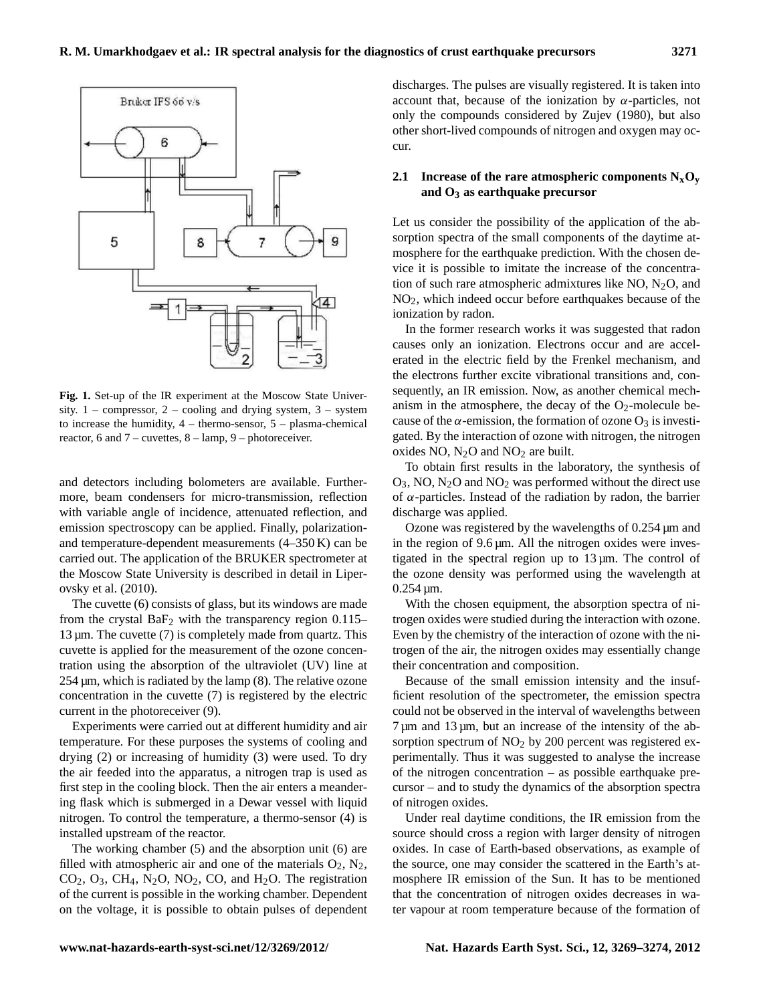

**Fig. 1.** Set-up of the IR experiment at the Moscow State University.  $1$  – compressor,  $2$  – cooling and drying system,  $3$  – system to increase the humidity,  $4 -$  thermo-sensor,  $5 -$  plasma-chemical reactor, 6 and 7 – cuvettes, 8 – lamp, 9 – photoreceiver.

and detectors including bolometers are available. Furthermore, beam condensers for micro-transmission, reflection with variable angle of incidence, attenuated reflection, and emission spectroscopy can be applied. Finally, polarizationand temperature-dependent measurements (4–350 K) can be carried out. The application of the BRUKER spectrometer at the Moscow State University is described in detail in Liperovsky et al. (2010).

The cuvette (6) consists of glass, but its windows are made from the crystal  $BaF_2$  with the transparency region 0.115–  $13 \mu m$ . The cuvette (7) is completely made from quartz. This cuvette is applied for the measurement of the ozone concentration using the absorption of the ultraviolet (UV) line at 254 µm, which is radiated by the lamp (8). The relative ozone concentration in the cuvette (7) is registered by the electric current in the photoreceiver (9).

Experiments were carried out at different humidity and air temperature. For these purposes the systems of cooling and drying (2) or increasing of humidity (3) were used. To dry the air feeded into the apparatus, a nitrogen trap is used as first step in the cooling block. Then the air enters a meandering flask which is submerged in a Dewar vessel with liquid nitrogen. To control the temperature, a thermo-sensor (4) is installed upstream of the reactor.

The working chamber (5) and the absorption unit (6) are filled with atmospheric air and one of the materials  $O_2$ ,  $N_2$ ,  $CO<sub>2</sub>, O<sub>3</sub>, CH<sub>4</sub>, N<sub>2</sub>O, NO<sub>2</sub>, CO, and H<sub>2</sub>O. The registration$ of the current is possible in the working chamber. Dependent on the voltage, it is possible to obtain pulses of dependent discharges. The pulses are visually registered. It is taken into account that, because of the ionization by  $\alpha$ -particles, not only the compounds considered by Zujev (1980), but also other short-lived compounds of nitrogen and oxygen may occur.

## **2.1** Increase of the rare atmospheric components  $N_xO_y$ **and O<sup>3</sup> as earthquake precursor**

Let us consider the possibility of the application of the absorption spectra of the small components of the daytime atmosphere for the earthquake prediction. With the chosen device it is possible to imitate the increase of the concentration of such rare atmospheric admixtures like NO,  $N_2O$ , and NO2, which indeed occur before earthquakes because of the ionization by radon.

In the former research works it was suggested that radon causes only an ionization. Electrons occur and are accelerated in the electric field by the Frenkel mechanism, and the electrons further excite vibrational transitions and, consequently, an IR emission. Now, as another chemical mechanism in the atmosphere, the decay of the  $O_2$ -molecule because of the  $\alpha$ -emission, the formation of ozone  $O_3$  is investigated. By the interaction of ozone with nitrogen, the nitrogen oxides NO,  $N_2O$  and  $NO_2$  are built.

To obtain first results in the laboratory, the synthesis of  $O_3$ , NO, N<sub>2</sub>O and NO<sub>2</sub> was performed without the direct use of α-particles. Instead of the radiation by radon, the barrier discharge was applied.

Ozone was registered by the wavelengths of  $0.254 \,\mathrm{\mu m}$  and in the region of 9.6 µm. All the nitrogen oxides were investigated in the spectral region up to 13 µm. The control of the ozone density was performed using the wavelength at  $0.254 \,\mathrm{\mu m}$ .

With the chosen equipment, the absorption spectra of nitrogen oxides were studied during the interaction with ozone. Even by the chemistry of the interaction of ozone with the nitrogen of the air, the nitrogen oxides may essentially change their concentration and composition.

Because of the small emission intensity and the insufficient resolution of the spectrometer, the emission spectra could not be observed in the interval of wavelengths between  $7 \mu m$  and  $13 \mu m$ , but an increase of the intensity of the absorption spectrum of  $NO<sub>2</sub>$  by 200 percent was registered experimentally. Thus it was suggested to analyse the increase of the nitrogen concentration – as possible earthquake precursor – and to study the dynamics of the absorption spectra of nitrogen oxides.

Under real daytime conditions, the IR emission from the source should cross a region with larger density of nitrogen oxides. In case of Earth-based observations, as example of the source, one may consider the scattered in the Earth's atmosphere IR emission of the Sun. It has to be mentioned that the concentration of nitrogen oxides decreases in water vapour at room temperature because of the formation of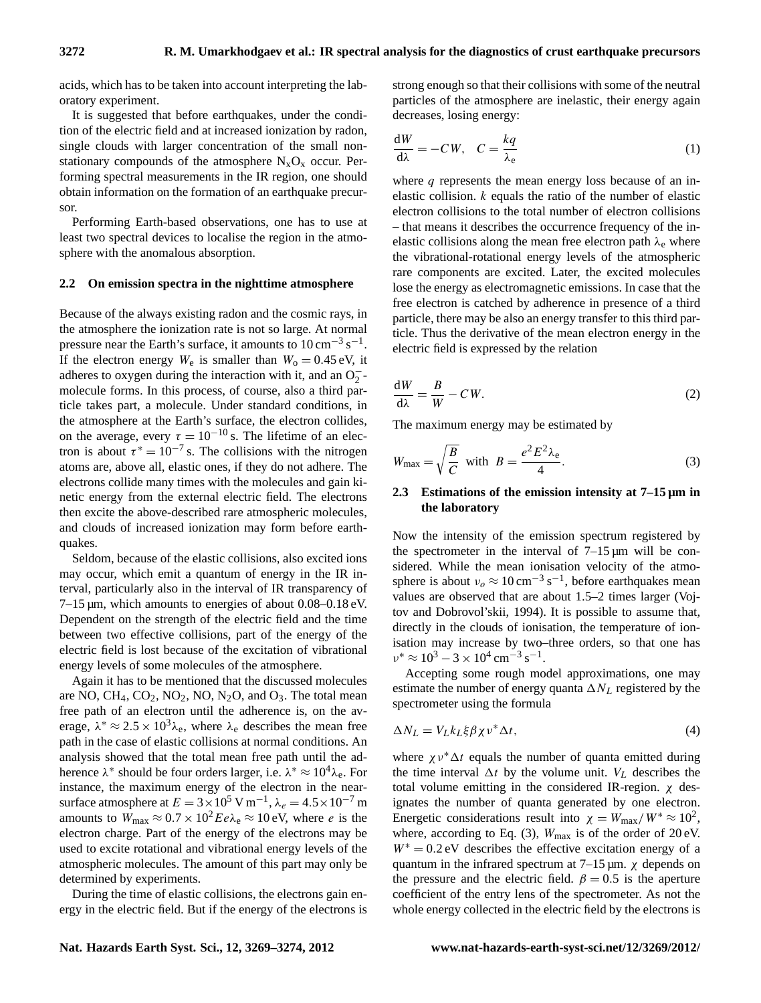acids, which has to be taken into account interpreting the laboratory experiment.

It is suggested that before earthquakes, under the condition of the electric field and at increased ionization by radon, single clouds with larger concentration of the small nonstationary compounds of the atmosphere  $N_xO_x$  occur. Performing spectral measurements in the IR region, one should obtain information on the formation of an earthquake precursor.

Performing Earth-based observations, one has to use at least two spectral devices to localise the region in the atmosphere with the anomalous absorption.

#### **2.2 On emission spectra in the nighttime atmosphere**

Because of the always existing radon and the cosmic rays, in the atmosphere the ionization rate is not so large. At normal pressure near the Earth's surface, it amounts to  $10 \text{ cm}^{-3} \text{ s}^{-1}$ . If the electron energy  $W_e$  is smaller than  $W_o = 0.45 \text{ eV}$ , it adheres to oxygen during the interaction with it, and an  $O_2^-$ molecule forms. In this process, of course, also a third particle takes part, a molecule. Under standard conditions, in the atmosphere at the Earth's surface, the electron collides, on the average, every  $\tau = 10^{-10}$  s. The lifetime of an electron is about  $\tau^* = 10^{-7}$  s. The collisions with the nitrogen atoms are, above all, elastic ones, if they do not adhere. The electrons collide many times with the molecules and gain kinetic energy from the external electric field. The electrons then excite the above-described rare atmospheric molecules, and clouds of increased ionization may form before earthquakes.

Seldom, because of the elastic collisions, also excited ions may occur, which emit a quantum of energy in the IR interval, particularly also in the interval of IR transparency of 7–15 µm, which amounts to energies of about 0.08–0.18 eV. Dependent on the strength of the electric field and the time between two effective collisions, part of the energy of the electric field is lost because of the excitation of vibrational energy levels of some molecules of the atmosphere.

Again it has to be mentioned that the discussed molecules are NO, CH<sub>4</sub>, CO<sub>2</sub>, NO<sub>2</sub>, NO, N<sub>2</sub>O, and O<sub>3</sub>. The total mean free path of an electron until the adherence is, on the average,  $\lambda^* \approx 2.5 \times 10^3 \lambda_e$ , where  $\lambda_e$  describes the mean free path in the case of elastic collisions at normal conditions. An analysis showed that the total mean free path until the adherence  $\lambda^*$  should be four orders larger, i.e.  $\lambda^* \approx 10^4 \lambda_e$ . For instance, the maximum energy of the electron in the nearsurface atmosphere at  $E = 3 \times 10^5$  V m<sup>-1</sup>,  $\lambda_e = 4.5 \times 10^{-7}$  m amounts to  $W_{\text{max}} \approx 0.7 \times 10^2 E e \lambda_e \approx 10 \text{ eV}$ , where *e* is the electron charge. Part of the energy of the electrons may be used to excite rotational and vibrational energy levels of the atmospheric molecules. The amount of this part may only be determined by experiments.

During the time of elastic collisions, the electrons gain energy in the electric field. But if the energy of the electrons is strong enough so that their collisions with some of the neutral particles of the atmosphere are inelastic, their energy again decreases, losing energy:

$$
\frac{dW}{d\lambda} = -CW, \quad C = \frac{kq}{\lambda_e} \tag{1}
$$

where  $q$  represents the mean energy loss because of an inelastic collision.  $k$  equals the ratio of the number of elastic electron collisions to the total number of electron collisions – that means it describes the occurrence frequency of the inelastic collisions along the mean free electron path  $\lambda_e$  where the vibrational-rotational energy levels of the atmospheric rare components are excited. Later, the excited molecules lose the energy as electromagnetic emissions. In case that the free electron is catched by adherence in presence of a third particle, there may be also an energy transfer to this third particle. Thus the derivative of the mean electron energy in the electric field is expressed by the relation

$$
\frac{\mathrm{d}W}{\mathrm{d}\lambda} = \frac{B}{W} - CW. \tag{2}
$$

The maximum energy may be estimated by

$$
W_{\text{max}} = \sqrt{\frac{B}{C}} \quad \text{with} \quad B = \frac{e^2 E^2 \lambda_e}{4}.
$$
 (3)

## **2.3 Estimations of the emission intensity at 7–15 µm in the laboratory**

Now the intensity of the emission spectrum registered by the spectrometer in the interval of  $7-15 \mu m$  will be considered. While the mean ionisation velocity of the atmosphere is about  $v_0 \approx 10 \text{ cm}^{-3} \text{ s}^{-1}$ , before earthquakes mean values are observed that are about 1.5–2 times larger (Vojtov and Dobrovol'skii, 1994). It is possible to assume that, directly in the clouds of ionisation, the temperature of ionisation may increase by two–three orders, so that one has  $v^* \approx 10^3 - 3 \times 10^4 \,\mathrm{cm}^{-3} \,\mathrm{s}^{-1}.$ 

Accepting some rough model approximations, one may estimate the number of energy quanta  $\Delta N_L$  registered by the spectrometer using the formula

$$
\Delta N_L = V_L k_L \xi \beta \chi \nu^* \Delta t, \qquad (4)
$$

where  $\chi v^* \Delta t$  equals the number of quanta emitted during the time interval  $\Delta t$  by the volume unit.  $V_L$  describes the total volume emitting in the considered IR-region. χ designates the number of quanta generated by one electron. Energetic considerations result into  $\chi = W_{\text{max}}/W^* \approx 10^2$ , where, according to Eq. (3),  $W_{\text{max}}$  is of the order of 20 eV.  $W^* = 0.2$  eV describes the effective excitation energy of a quantum in the infrared spectrum at  $7-15 \mu m$ .  $\chi$  depends on the pressure and the electric field.  $\beta = 0.5$  is the aperture coefficient of the entry lens of the spectrometer. As not the whole energy collected in the electric field by the electrons is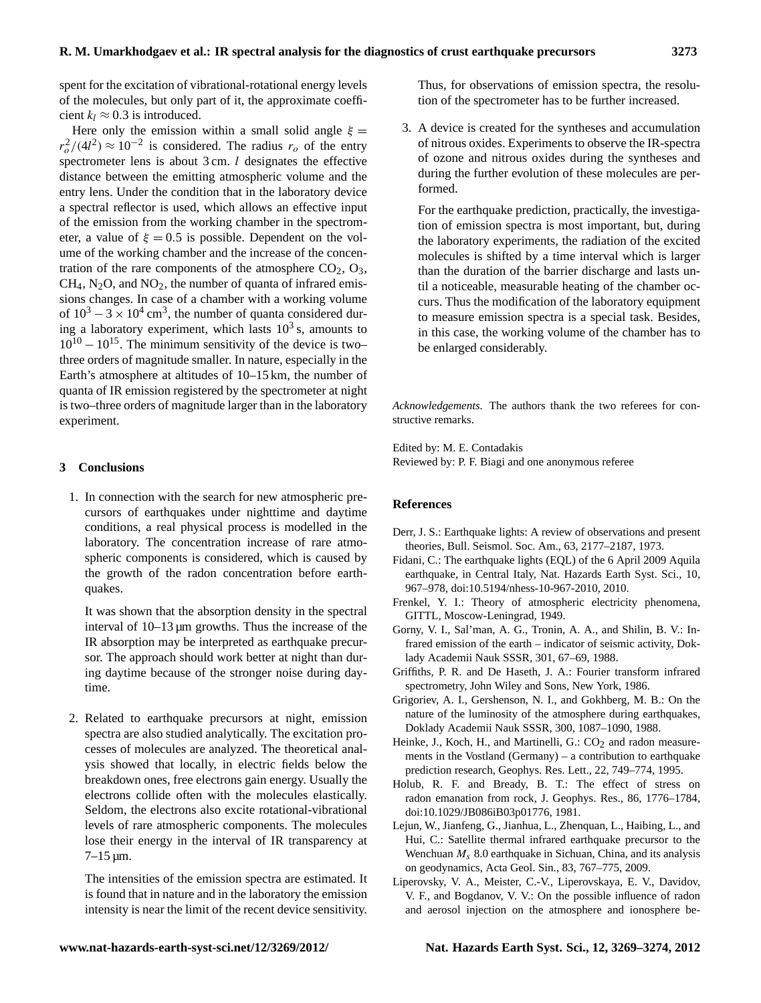spent for the excitation of vibrational-rotational energy levels of the molecules, but only part of it, the approximate coefficient  $k_l \approx 0.3$  is introduced.

Here only the emission within a small solid angle  $\xi =$  $r_o^2/(4l^2) \approx 10^{-2}$  is considered. The radius  $r_o$  of the entry spectrometer lens is about  $3 \text{ cm}$ . *l* designates the effective distance between the emitting atmospheric volume and the entry lens. Under the condition that in the laboratory device a spectral reflector is used, which allows an effective input of the emission from the working chamber in the spectrometer, a value of  $\xi = 0.5$  is possible. Dependent on the volume of the working chamber and the increase of the concentration of the rare components of the atmosphere  $CO<sub>2</sub>, O<sub>3</sub>$ ,  $CH<sub>4</sub>$ , N<sub>2</sub>O, and NO<sub>2</sub>, the number of quanta of infrared emissions changes. In case of a chamber with a working volume of  $10^3 - 3 \times 10^4$  cm<sup>3</sup>, the number of quanta considered during a laboratory experiment, which lasts  $10^3$  s, amounts to  $10^{10} - 10^{15}$ . The minimum sensitivity of the device is two– three orders of magnitude smaller. In nature, especially in the Earth's atmosphere at altitudes of 10–15 km, the number of quanta of IR emission registered by the spectrometer at night is two–three orders of magnitude larger than in the laboratory experiment.

#### **3 Conclusions**

1. In connection with the search for new atmospheric precursors of earthquakes under nighttime and daytime conditions, a real physical process is modelled in the laboratory. The concentration increase of rare atmospheric components is considered, which is caused by the growth of the radon concentration before earthquakes.

It was shown that the absorption density in the spectral interval of 10–13 µm growths. Thus the increase of the IR absorption may be interpreted as earthquake precursor. The approach should work better at night than during daytime because of the stronger noise during daytime.

2. Related to earthquake precursors at night, emission spectra are also studied analytically. The excitation processes of molecules are analyzed. The theoretical analysis showed that locally, in electric fields below the breakdown ones, free electrons gain energy. Usually the electrons collide often with the molecules elastically. Seldom, the electrons also excite rotational-vibrational levels of rare atmospheric components. The molecules lose their energy in the interval of IR transparency at  $7-15 \,\mathrm{\mu m}$ .

The intensities of the emission spectra are estimated. It is found that in nature and in the laboratory the emission intensity is near the limit of the recent device sensitivity.

Thus, for observations of emission spectra, the resolution of the spectrometer has to be further increased.

3. A device is created for the syntheses and accumulation of nitrous oxides. Experiments to observe the IR-spectra of ozone and nitrous oxides during the syntheses and during the further evolution of these molecules are performed.

For the earthquake prediction, practically, the investigation of emission spectra is most important, but, during the laboratory experiments, the radiation of the excited molecules is shifted by a time interval which is larger than the duration of the barrier discharge and lasts until a noticeable, measurable heating of the chamber occurs. Thus the modification of the laboratory equipment to measure emission spectra is a special task. Besides, in this case, the working volume of the chamber has to be enlarged considerably.

*Acknowledgements.* The authors thank the two referees for constructive remarks.

Edited by: M. E. Contadakis Reviewed by: P. F. Biagi and one anonymous referee

#### **References**

- Derr, J. S.: Earthquake lights: A review of observations and present theories, Bull. Seismol. Soc. Am., 63, 2177–2187, 1973.
- Fidani, C.: The earthquake lights (EQL) of the 6 April 2009 Aquila earthquake, in Central Italy, Nat. Hazards Earth Syst. Sci., 10, 967–978, [doi:10.5194/nhess-10-967-2010,](http://dx.doi.org/10.5194/nhess-10-967-2010) 2010.
- Frenkel, Y. I.: Theory of atmospheric electricity phenomena, GITTL, Moscow-Leningrad, 1949.
- Gorny, V. I., Sal'man, A. G., Tronin, A. A., and Shilin, B. V.: Infrared emission of the earth – indicator of seismic activity, Doklady Academii Nauk SSSR, 301, 67–69, 1988.
- Griffiths, P. R. and De Haseth, J. A.: Fourier transform infrared spectrometry, John Wiley and Sons, New York, 1986.
- Grigoriev, A. I., Gershenson, N. I., and Gokhberg, M. B.: On the nature of the luminosity of the atmosphere during earthquakes, Doklady Academii Nauk SSSR, 300, 1087–1090, 1988.
- Heinke, J., Koch, H., and Martinelli, G.:  $CO<sub>2</sub>$  and radon measurements in the Vostland (Germany) – a contribution to earthquake prediction research, Geophys. Res. Lett., 22, 749–774, 1995.
- Holub, R. F. and Bready, B. T.: The effect of stress on radon emanation from rock, J. Geophys. Res., 86, 1776–1784, [doi:10.1029/JB086iB03p01776,](http://dx.doi.org/10.1029/JB086iB03p01776 ) 1981.
- Lejun, W., Jianfeng, G., Jianhua, L., Zhenquan, L., Haibing, L., and Hui, C.: Satellite thermal infrared earthquake precursor to the Wenchuan  $M_s$  8.0 earthquake in Sichuan, China, and its analysis on geodynamics, Acta Geol. Sin., 83, 767–775, 2009.
- Liperovsky, V. A., Meister, C.-V., Liperovskaya, E. V., Davidov, V. F., and Bogdanov, V. V.: On the possible influence of radon and aerosol injection on the atmosphere and ionosphere be-